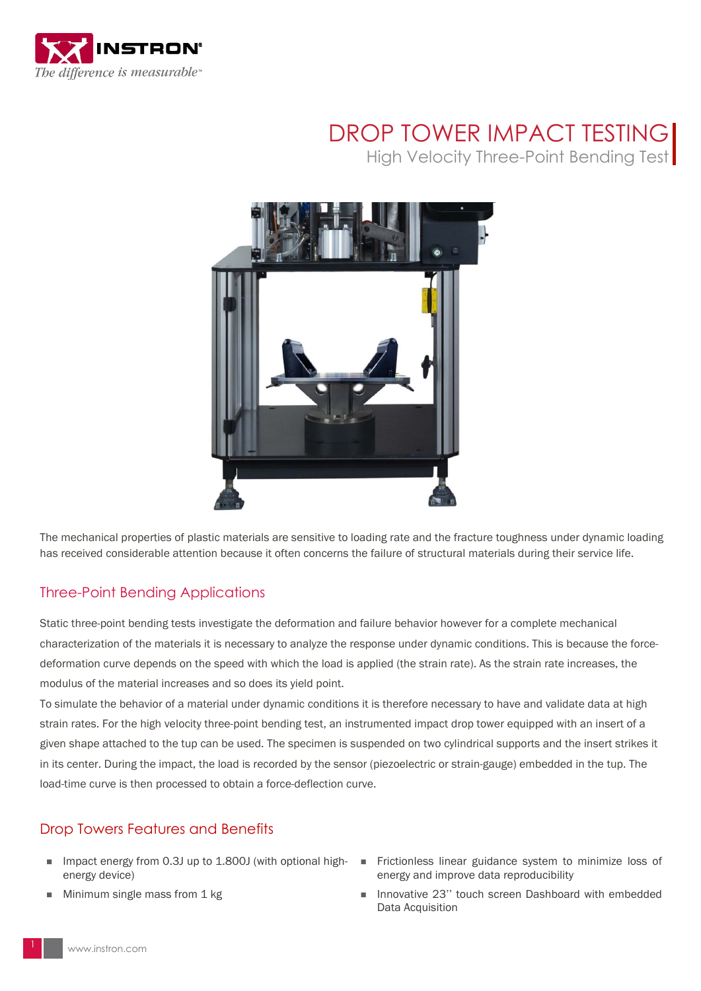

## DROP TOWER IMPACT TESTING

High Velocity Three-Point Bending Test



The mechanical properties of plastic materials are sensitive to loading rate and the fracture toughness under dynamic loading has received considerable attention because it often concerns the failure of structural materials during their service life.

## Three-Point Bending Applications

Static three-point bending tests investigate the deformation and failure behavior however for a complete mechanical characterization of the materials it is necessary to analyze the response under dynamic conditions. This is because the forcedeformation curve depends on the speed with which the load is applied (the strain rate). As the strain rate increases, the modulus of the material increases and so does its yield point.

To simulate the behavior of a material under dynamic conditions it is therefore necessary to have and validate data at high strain rates. For the high velocity three-point bending test, an instrumented impact drop tower equipped with an insert of a given shape attached to the tup can be used. The specimen is suspended on two cylindrical supports and the insert strikes it in its center. During the impact, the load is recorded by the sensor (piezoelectric or strain-gauge) embedded in the tup. The load-time curve is then processed to obtain a force-deflection curve.

## Drop Towers Features and Benefits

- Impact energy from 0.3J up to 1.800J (with optional highenergy device)
- Minimum single mass from 1 kg
- Frictionless linear guidance system to minimize loss of energy and improve data reproducibility
- Innovative 23'' touch screen Dashboard with embedded Data Acquisition